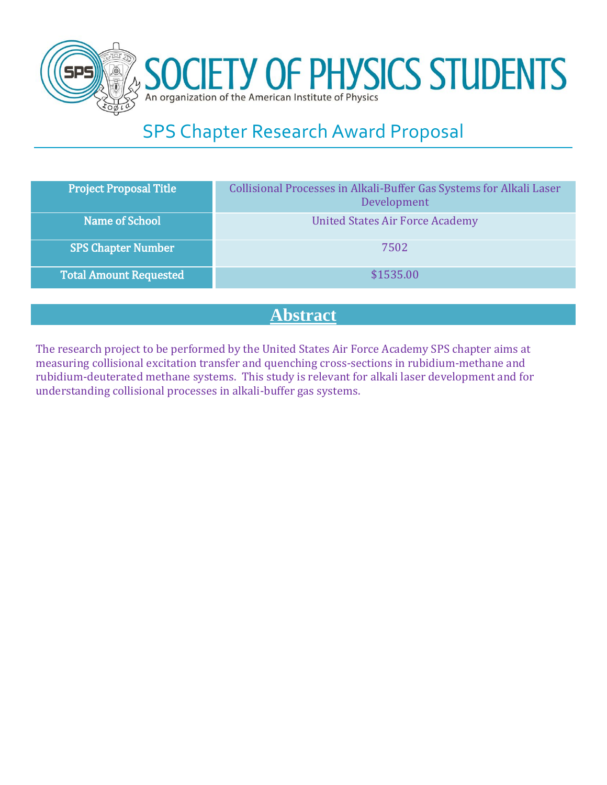

SOCIETY OF PHYSICS STUDENTS

# SPS Chapter Research Award Proposal

| <b>Project Proposal Title</b> | Collisional Processes in Alkali-Buffer Gas Systems for Alkali Laser<br>Development |
|-------------------------------|------------------------------------------------------------------------------------|
| Name of School                | <b>United States Air Force Academy</b>                                             |
| <b>SPS Chapter Number</b>     | 7502                                                                               |
| <b>Total Amount Requested</b> | \$1535.00                                                                          |
|                               |                                                                                    |

# **Abstract**

The research project to be performed by the United States Air Force Academy SPS chapter aims at measuring collisional excitation transfer and quenching cross-sections in rubidium-methane and rubidium-deuterated methane systems. This study is relevant for alkali laser development and for understanding collisional processes in alkali-buffer gas systems.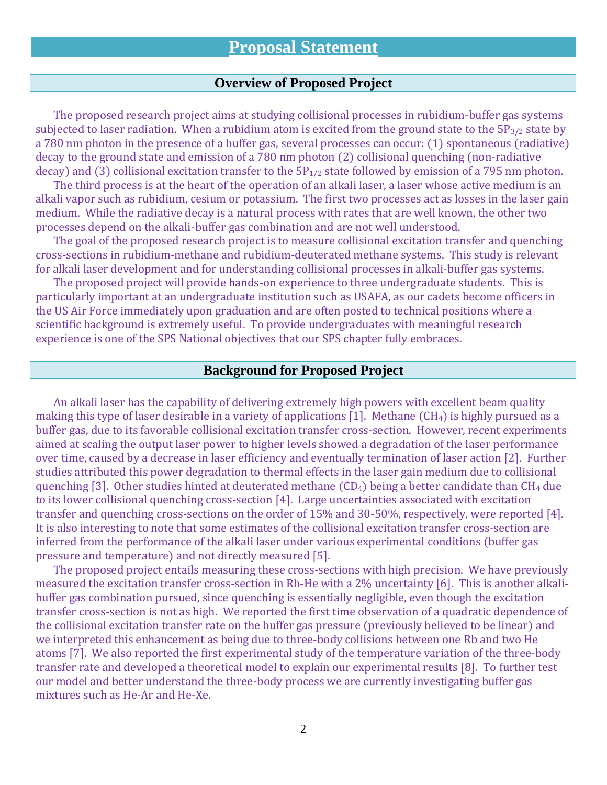### **Overview of Proposed Project**

The proposed research project aims at studying collisional processes in rubidium-buffer gas systems subjected to laser radiation. When a rubidium atom is excited from the ground state to the  $5P_{3/2}$  state by a 780 nm photon in the presence of a buffer gas, several processes can occur: (1) spontaneous (radiative) decay to the ground state and emission of a 780 nm photon (2) collisional quenching (non-radiative decay) and (3) collisional excitation transfer to the  $5P_{1/2}$  state followed by emission of a 795 nm photon.

The third process is at the heart of the operation of an alkali laser, a laser whose active medium is an alkali vapor such as rubidium, cesium or potassium. The first two processes act as losses in the laser gain medium. While the radiative decay is a natural process with rates that are well known, the other two processes depend on the alkali-buffer gas combination and are not well understood.

The goal of the proposed research project is to measure collisional excitation transfer and quenching cross-sections in rubidium-methane and rubidium-deuterated methane systems. This study is relevant for alkali laser development and for understanding collisional processes in alkali-buffer gas systems.

The proposed project will provide hands-on experience to three undergraduate students. This is particularly important at an undergraduate institution such as USAFA, as our cadets become officers in the US Air Force immediately upon graduation and are often posted to technical positions where a scientific background is extremely useful. To provide undergraduates with meaningful research experience is one of the SPS National objectives that our SPS chapter fully embraces.

#### **Background for Proposed Project**

An alkali laser has the capability of delivering extremely high powers with excellent beam quality making this type of laser desirable in a variety of applications [1]. Methane  $(CH_4)$  is highly pursued as a buffer gas, due to its favorable collisional excitation transfer cross-section. However, recent experiments aimed at scaling the output laser power to higher levels showed a degradation of the laser performance over time, caused by a decrease in laser efficiency and eventually termination of laser action [2]. Further studies attributed this power degradation to thermal effects in the laser gain medium due to collisional quenching [3]. Other studies hinted at deuterated methane  $(CD_4)$  being a better candidate than  $CH_4$  due to its lower collisional quenching cross-section [4]. Large uncertainties associated with excitation transfer and quenching cross-sections on the order of 15% and 30-50%, respectively, were reported [4]. It is also interesting to note that some estimates of the collisional excitation transfer cross-section are inferred from the performance of the alkali laser under various experimental conditions (buffer gas pressure and temperature) and not directly measured [5].

The proposed project entails measuring these cross-sections with high precision. We have previously measured the excitation transfer cross-section in Rb-He with a 2% uncertainty [6]. This is another alkalibuffer gas combination pursued, since quenching is essentially negligible, even though the excitation transfer cross-section is not as high. We reported the first time observation of a quadratic dependence of the collisional excitation transfer rate on the buffer gas pressure (previously believed to be linear) and we interpreted this enhancement as being due to three-body collisions between one Rb and two He atoms [7]. We also reported the first experimental study of the temperature variation of the three-body transfer rate and developed a theoretical model to explain our experimental results [8]. To further test our model and better understand the three-body process we are currently investigating buffer gas mixtures such as He-Ar and He-Xe.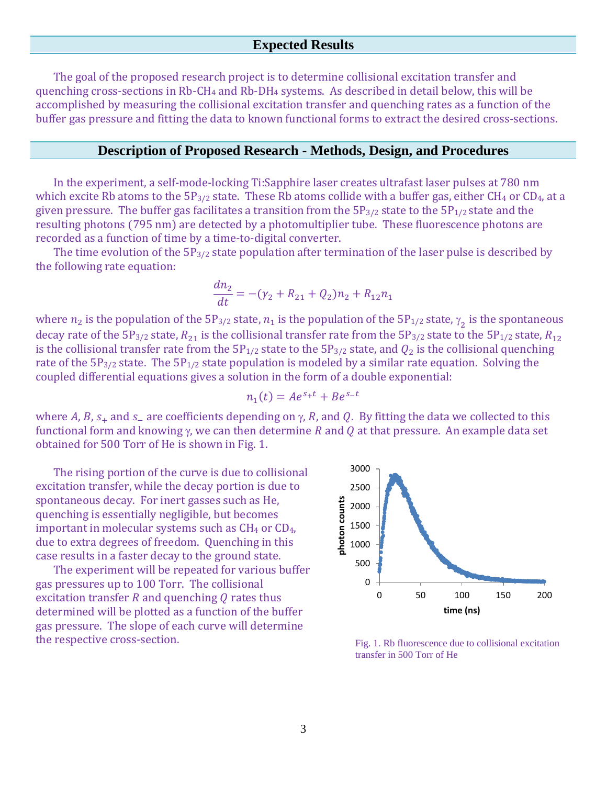### **Expected Results**

The goal of the proposed research project is to determine collisional excitation transfer and quenching cross-sections in Rb-CH<sub>4</sub> and Rb-DH<sub>4</sub> systems. As described in detail below, this will be accomplished by measuring the collisional excitation transfer and quenching rates as a function of the buffer gas pressure and fitting the data to known functional forms to extract the desired cross-sections.

#### **Description of Proposed Research - Methods, Design, and Procedures**

In the experiment, a self-mode-locking Ti:Sapphire laser creates ultrafast laser pulses at 780 nm which excite Rb atoms to the  $5P_{3/2}$  state. These Rb atoms collide with a buffer gas, either CH<sub>4</sub> or CD<sub>4</sub>, at a given pressure. The buffer gas facilitates a transition from the  $5P_{3/2}$  state to the  $5P_{1/2}$  state and the resulting photons (795 nm) are detected by a photomultiplier tube. These fluorescence photons are recorded as a function of time by a time-to-digital converter.

The time evolution of the  $5P_{3/2}$  state population after termination of the laser pulse is described by the following rate equation:

$$
\frac{dn_2}{dt} = -(\gamma_2 + R_{21} + Q_2)n_2 + R_{12}n_1
$$

where  $n_2$  is the population of the 5P<sub>3/2</sub> state,  $n_1$  is the population of the 5P<sub>1/2</sub> state,  $\gamma_2$  is the spontaneous decay rate of the 5P<sub>3/2</sub> state,  $R_{21}$  is the collisional transfer rate from the 5P<sub>3/2</sub> state to the 5P<sub>1/2</sub> state,  $R_{12}$ is the collisional transfer rate from the  $5P_{1/2}$  state to the  $5P_{3/2}$  state, and  $Q_2$  is the collisional quenching rate of the  $5P_{3/2}$  state. The  $5P_{1/2}$  state population is modeled by a similar rate equation. Solving the coupled differential equations gives a solution in the form of a double exponential:

$$
n_1(t) = Ae^{s_+t} + Be^{s_-t}
$$

where A, B,  $s_+$  and  $s_-$  are coefficients depending on  $\gamma$ , R, and Q. By fitting the data we collected to this functional form and knowing  $\gamma$ , we can then determine R and Q at that pressure. An example data set obtained for 500 Torr of He is shown in Fig. 1.

The rising portion of the curve is due to collisional excitation transfer, while the decay portion is due to spontaneous decay. For inert gasses such as He, quenching is essentially negligible, but becomes important in molecular systems such as  $CH_4$  or  $CD_4$ , due to extra degrees of freedom. Quenching in this case results in a faster decay to the ground state.

The experiment will be repeated for various buffer gas pressures up to 100 Torr. The collisional excitation transfer  $R$  and quenching  $Q$  rates thus determined will be plotted as a function of the buffer gas pressure. The slope of each curve will determine the respective cross-section.



Fig. 1. Rb fluorescence due to collisional excitation transfer in 500 Torr of He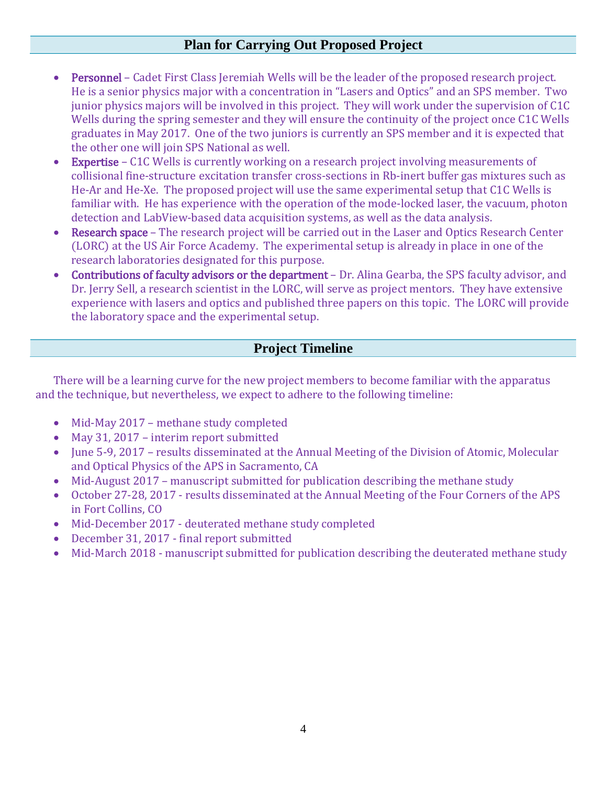### **Plan for Carrying Out Proposed Project**

- Personnel Cadet First Class Jeremiah Wells will be the leader of the proposed research project. He is a senior physics major with a concentration in "Lasers and Optics" and an SPS member. Two junior physics majors will be involved in this project. They will work under the supervision of C1C Wells during the spring semester and they will ensure the continuity of the project once C1C Wells graduates in May 2017. One of the two juniors is currently an SPS member and it is expected that the other one will join SPS National as well.
- Expertise C1C Wells is currently working on a research project involving measurements of collisional fine-structure excitation transfer cross-sections in Rb-inert buffer gas mixtures such as He-Ar and He-Xe. The proposed project will use the same experimental setup that C1C Wells is familiar with. He has experience with the operation of the mode-locked laser, the vacuum, photon detection and LabView-based data acquisition systems, as well as the data analysis.
- Research space The research project will be carried out in the Laser and Optics Research Center (LORC) at the US Air Force Academy. The experimental setup is already in place in one of the research laboratories designated for this purpose.
- Contributions of faculty advisors or the department Dr. Alina Gearba, the SPS faculty advisor, and Dr. Jerry Sell, a research scientist in the LORC, will serve as project mentors. They have extensive experience with lasers and optics and published three papers on this topic. The LORC will provide the laboratory space and the experimental setup.

## **Project Timeline**

There will be a learning curve for the new project members to become familiar with the apparatus and the technique, but nevertheless, we expect to adhere to the following timeline:

- Mid-May 2017 methane study completed
- May 31, 2017 interim report submitted
- June 5-9, 2017 results disseminated at the Annual Meeting of the Division of Atomic, Molecular and Optical Physics of the APS in Sacramento, CA
- Mid-August 2017 manuscript submitted for publication describing the methane study
- October 27-28, 2017 results disseminated at the Annual Meeting of the Four Corners of the APS in Fort Collins, CO
- Mid-December 2017 deuterated methane study completed
- December 31, 2017 final report submitted
- Mid-March 2018 manuscript submitted for publication describing the deuterated methane study